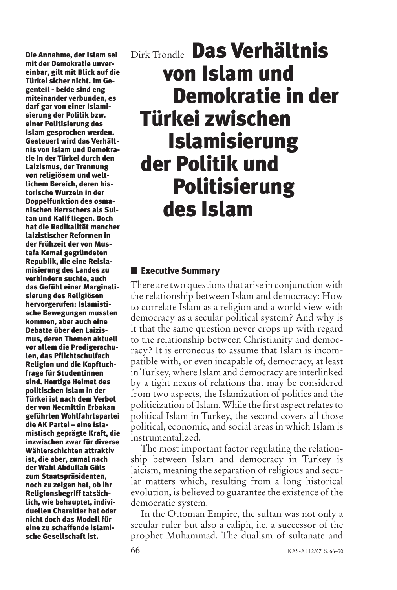**Die Annahme, der Islam sei mit der Demokratie unvereinbar, gilt mit Blick auf die Türkei sicher nicht. Im Gegenteil - beide sind eng miteinander verbunden, es darf gar von einer Islamisierung der Politik bzw. einer Politisierung des Islam gesprochen werden. Gesteuert wird das Verhältnis von Islam und Demokratie in der Türkei durch den Laizismus, der Trennung von religiösem und weltlichem Bereich, deren historische Wurzeln in der Doppelfunktion des osmanischen Herrschers als Sultan und Kalif liegen. Doch hat die Radikalität mancher laizistischer Reformen in der Frühzeit der von Mustafa Kemal gegründeten Republik, die eine Reislamisierung des Landes zu verhindern suchte, auch das Gefühl einer Marginalisierung des Religiösen hervorgerufen: Islamistische Bewegungen mussten kommen, aber auch eine Debatte über den Laizismus, deren Themen aktuell vor allem die Predigerschulen, das Pflichtschulfach Religion und die Kopftuchfrage für Studentinnen sind. Heutige Heimat des politischen Islam in der Türkei ist nach dem Verbot der von Necmittin Erbakan geführten Wohlfahrtspartei die AK Partei – eine islamistisch geprägte Kraft, die inzwischen zwar für diverse Wählerschichten attraktiv ist, die aber, zumal nach der Wahl Abdullah Güls zum Staatspräsidenten, noch zu zeigen hat, ob ihr Religionsbegriff tatsächlich, wie behauptet, individuellen Charakter hat oder nicht doch das Modell für eine zu schaffende islamische Gesellschaft ist.**

# Dirk Tröndle **Das Verhältnis von Islam und Demokratie in der Türkei zwischen Islamisierung der Politik und Politisierung des Islam**

## **Executive Summary**

There are two questions that arise in conjunction with the relationship between Islam and democracy: How to correlate Islam as a religion and a world view with democracy as a secular political system? And why is it that the same question never crops up with regard to the relationship between Christianity and democracy? It is erroneous to assume that Islam is incompatible with, or even incapable of, democracy, at least in Turkey, where Islam and democracy are interlinked by a tight nexus of relations that may be considered from two aspects, the Islamization of politics and the politicization of Islam. While the first aspect relates to political Islam in Turkey, the second covers all those political, economic, and social areas in which Islam is instrumentalized.

The most important factor regulating the relationship between Islam and democracy in Turkey is laicism, meaning the separation of religious and secular matters which, resulting from a long historical evolution, is believed to guarantee the existence of the democratic system.

In the Ottoman Empire, the sultan was not only a secular ruler but also a caliph, i.e. a successor of the prophet Muhammad. The dualism of sultanate and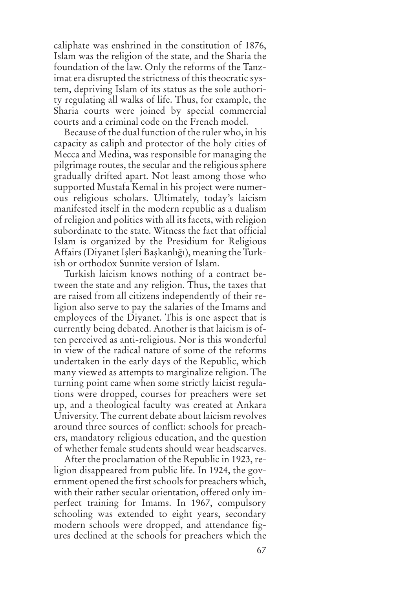caliphate was enshrined in the constitution of 1876, Islam was the religion of the state, and the Sharia the foundation of the law. Only the reforms of the Tanzimat era disrupted the strictness of this theocratic system, depriving Islam of its status as the sole authority regulating all walks of life. Thus, for example, the Sharia courts were joined by special commercial courts and a criminal code on the French model.

Because of the dual function of the ruler who, in his capacity as caliph and protector of the holy cities of Mecca and Medina, was responsible for managing the pilgrimage routes, the secular and the religious sphere gradually drifted apart. Not least among those who supported Mustafa Kemal in his project were numerous religious scholars. Ultimately, today's laicism manifested itself in the modern republic as a dualism of religion and politics with all its facets, with religion subordinate to the state. Witness the fact that official Islam is organized by the Presidium for Religious Affairs (Diyanet Işleri Başkanlığı), meaning the Turkish or orthodox Sunnite version of Islam.

Turkish laicism knows nothing of a contract between the state and any religion. Thus, the taxes that are raised from all citizens independently of their religion also serve to pay the salaries of the Imams and employees of the Diyanet. This is one aspect that is currently being debated. Another is that laicism is often perceived as anti-religious. Nor is this wonderful in view of the radical nature of some of the reforms undertaken in the early days of the Republic, which many viewed as attempts to marginalize religion. The turning point came when some strictly laicist regulations were dropped, courses for preachers were set up, and a theological faculty was created at Ankara University. The current debate about laicism revolves around three sources of conflict: schools for preachers, mandatory religious education, and the question of whether female students should wear headscarves.

After the proclamation of the Republic in 1923, religion disappeared from public life. In 1924, the government opened the first schools for preachers which, with their rather secular orientation, offered only imperfect training for Imams. In 1967, compulsory schooling was extended to eight years, secondary modern schools were dropped, and attendance figures declined at the schools for preachers which the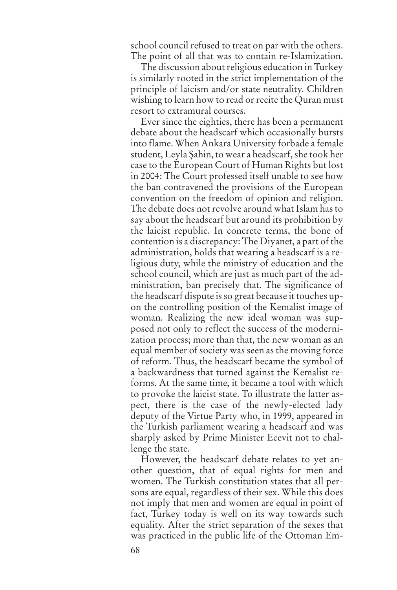school council refused to treat on par with the others. The point of all that was to contain re-Islamization.

The discussion about religious education in Turkey is similarly rooted in the strict implementation of the principle of laicism and/or state neutrality. Children wishing to learn how to read or recite the Quran must resort to extramural courses.

Ever since the eighties, there has been a permanent debate about the headscarf which occasionally bursts into flame. When Ankara University forbade a female student, Leyla Șahin, to wear a headscarf, she took her case to the European Court of Human Rights but lost in 2004: The Court professed itself unable to see how the ban contravened the provisions of the European convention on the freedom of opinion and religion. The debate does not revolve around what Islam has to say about the headscarf but around its prohibition by the laicist republic. In concrete terms, the bone of contention is a discrepancy: The Diyanet, a part of the administration, holds that wearing a headscarf is a religious duty, while the ministry of education and the school council, which are just as much part of the administration, ban precisely that. The significance of the headscarf dispute is so great because it touches upon the controlling position of the Kemalist image of woman. Realizing the new ideal woman was supposed not only to reflect the success of the modernization process; more than that, the new woman as an equal member of society was seen as the moving force of reform. Thus, the headscarf became the symbol of a backwardness that turned against the Kemalist reforms. At the same time, it became a tool with which to provoke the laicist state. To illustrate the latter aspect, there is the case of the newly-elected lady deputy of the Virtue Party who, in 1999, appeared in the Turkish parliament wearing a headscarf and was sharply asked by Prime Minister Ecevit not to challenge the state.

However, the headscarf debate relates to yet another question, that of equal rights for men and women. The Turkish constitution states that all persons are equal, regardless of their sex. While this does not imply that men and women are equal in point of fact, Turkey today is well on its way towards such equality. After the strict separation of the sexes that was practiced in the public life of the Ottoman Em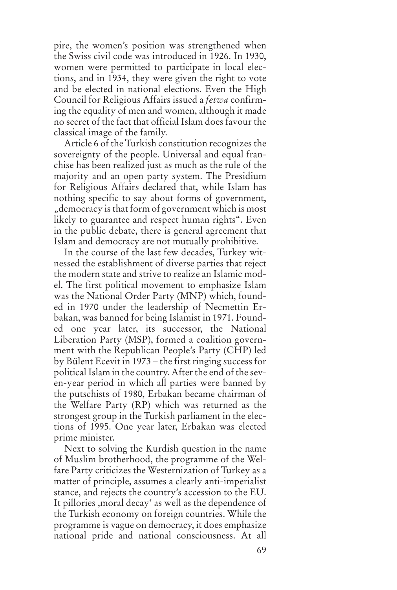pire, the women's position was strengthened when the Swiss civil code was introduced in 1926. In 1930, women were permitted to participate in local elections, and in 1934, they were given the right to vote and be elected in national elections. Even the High Council for Religious Affairs issued a *fetwa* confirming the equality of men and women, although it made no secret of the fact that official Islam does favour the classical image of the family.

Article 6 of the Turkish constitution recognizes the sovereignty of the people. Universal and equal franchise has been realized just as much as the rule of the majority and an open party system. The Presidium for Religious Affairs declared that, while Islam has nothing specific to say about forms of government, "democracy isthat form of government which is most likely to guarantee and respect human rights". Even in the public debate, there is general agreement that Islam and democracy are not mutually prohibitive.

In the course of the last few decades, Turkey witnessed the establishment of diverse parties that reject the modern state and strive to realize an Islamic model. The first political movement to emphasize Islam was the National Order Party (MNP) which, founded in 1970 under the leadership of Necmettin Erbakan, was banned for being Islamist in 1971. Founded one year later, its successor, the National Liberation Party (MSP), formed a coalition government with the Republican People's Party (CHP) led by Bülent Ecevit in 1973 – the first ringing success for political Islam in the country. After the end of the seven-year period in which all parties were banned by the putschists of 1980, Erbakan became chairman of the Welfare Party (RP) which was returned as the strongest group in the Turkish parliament in the elections of 1995. One year later, Erbakan was elected prime minister.

Next to solving the Kurdish question in the name of Muslim brotherhood, the programme of the Welfare Party criticizes the Westernization of Turkey as a matter of principle, assumes a clearly anti-imperialist stance, and rejects the country's accession to the EU. It pillories ,moral decay' as well as the dependence of the Turkish economy on foreign countries. While the programme is vague on democracy, it does emphasize national pride and national consciousness. At all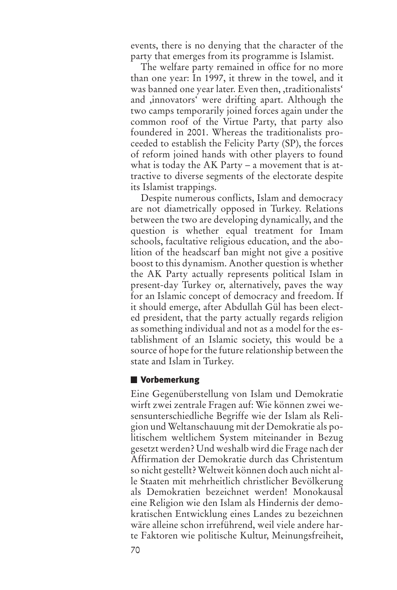events, there is no denying that the character of the party that emerges from its programme is Islamist.

The welfare party remained in office for no more than one year: In 1997, it threw in the towel, and it was banned one year later. Even then, traditionalists' and ,innovators' were drifting apart. Although the two camps temporarily joined forces again under the common roof of the Virtue Party, that party also foundered in 2001. Whereas the traditionalists proceeded to establish the Felicity Party (SP), the forces of reform joined hands with other players to found what is today the AK Party – a movement that is attractive to diverse segments of the electorate despite its Islamist trappings.

Despite numerous conflicts, Islam and democracy are not diametrically opposed in Turkey. Relations between the two are developing dynamically, and the question is whether equal treatment for Imam schools, facultative religious education, and the abolition of the headscarf ban might not give a positive boost to this dynamism. Another question is whether the AK Party actually represents political Islam in present-day Turkey or, alternatively, paves the way for an Islamic concept of democracy and freedom. If it should emerge, after Abdullah Gül has been elected president, that the party actually regards religion as something individual and not as a model for the establishment of an Islamic society, this would be a source of hope for the future relationship between the state and Islam in Turkey.

#### **Vorbemerkung**

Eine Gegenüberstellung von Islam und Demokratie wirft zwei zentrale Fragen auf: Wie können zwei wesensunterschiedliche Begriffe wie der Islam als Religion und Weltanschauung mit der Demokratie als politischem weltlichem System miteinander in Bezug gesetzt werden? Und weshalb wird die Frage nach der Affirmation der Demokratie durch das Christentum so nicht gestellt? Weltweit können doch auch nicht alle Staaten mit mehrheitlich christlicher Bevölkerung als Demokratien bezeichnet werden! Monokausal eine Religion wie den Islam als Hindernis der demokratischen Entwicklung eines Landes zu bezeichnen wäre alleine schon irreführend, weil viele andere harte Faktoren wie politische Kultur, Meinungsfreiheit,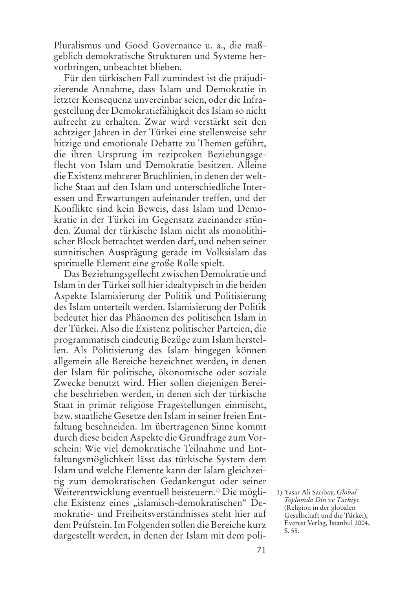Pluralismus und Good Governance u. a., die maßgeblich demokratische Strukturen und Systeme hervorbringen, unbeachtet blieben.

Für den türkischen Fall zumindest ist die präjudizierende Annahme, dass Islam und Demokratie in letzter Konsequenz unvereinbarseien, oder die Infragestellung der Demokratiefähigkeit desIslam so nicht aufrecht zu erhalten. Zwar wird verstärkt seit den achtziger Jahren in der Türkei eine stellenweise sehr hitzige und emotionale Debatte zu Themen geführt, die ihren Ursprung im reziproken Beziehungsgeflecht von Islam und Demokratie besitzen. Alleine die Existenz mehrerer Bruchlinien, in denen der weltliche Staat auf den Islam und unterschiedliche Interessen und Erwartungen aufeinander treffen, und der Konflikte sind kein Beweis, dass Islam und Demokratie in der Türkei im Gegensatz zueinander stünden. Zumal der türkische Islam nicht als monolithischer Block betrachtet werden darf, und neben seiner sunnitischen Ausprägung gerade im Volksislam das spirituelle Element eine große Rolle spielt.

Das Beziehungsgeflecht zwischen Demokratie und Islam in der Türkei soll hier idealtypisch in die beiden Aspekte Islamisierung der Politik und Politisierung des Islam unterteilt werden. Islamisierung der Politik bedeutet hier das Phänomen des politischen Islam in der Türkei. Also die Existenz politischer Parteien, die programmatisch eindeutig Bezüge zum Islam herstellen. Als Politisierung des Islam hingegen können allgemein alle Bereiche bezeichnet werden, in denen der Islam für politische, ökonomische oder soziale Zwecke benutzt wird. Hier sollen diejenigen Bereiche beschrieben werden, in denen sich der türkische Staat in primär religiöse Fragestellungen einmischt, bzw.staatliche Gesetze den Islam in seinerfreien Entfaltung beschneiden. Im übertragenen Sinne kommt durch diese beiden Aspekte die Grundfrage zum Vorschein: Wie viel demokratische Teilnahme und Entfaltungsmöglichkeit lässt das türkische System dem Islam und welche Elemente kann der Islam gleichzeitig zum demokratischen Gedankengut oder seiner Weiterentwicklung eventuell beisteuern. 1) Die mögliche Existenz eines "islamisch-demokratischen" Demokratie- und Freiheitsverständnisses steht hier auf dem Prüfstein.Im Folgenden sollen die Bereiche kurz dargestellt werden, in denen der Islam mit dem poli-

<sup>1)</sup> Yașar Ali Sarıbay, *Global Toplumda Din ve Türkiye* (Religion in der globalen Gesellschaft und die Türkei); Everest Verlag, Istanbul 2004, S. 55.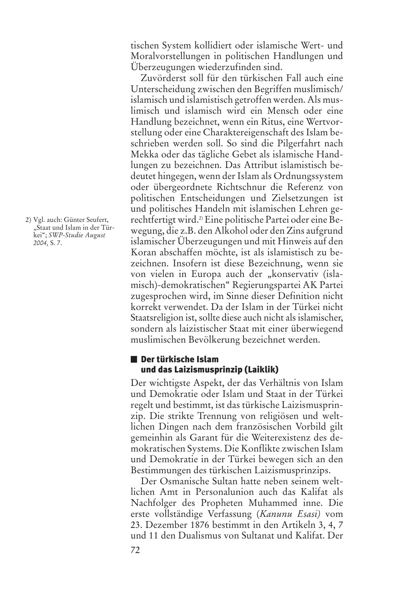tischen System kollidiert oder islamische Wert- und Moralvorstellungen in politischen Handlungen und Überzeugungen wiederzufinden sind.

Zuvörderst soll für den türkischen Fall auch eine Unterscheidung zwischen den Begriffen muslimisch/ islamisch und islamistisch getroffen werden. Als muslimisch und islamisch wird ein Mensch oder eine Handlung bezeichnet, wenn ein Ritus, eine Wertvorstellung oder eine Charaktereigenschaft des Islam beschrieben werden soll. So sind die Pilgerfahrt nach Mekka oder das tägliche Gebet als islamische Handlungen zu bezeichnen. Das Attribut islamistisch bedeutet hingegen, wenn der Islam als Ordnungssystem oder übergeordnete Richtschnur die Referenz von politischen Entscheidungen und Zielsetzungen ist und politisches Handeln mit islamischen Lehren gerechtfertigt wird. 2) Eine politische Partei oder eine Bewegung, die z.B. den Alkohol oder den Zins aufgrund islamischer Überzeugungen und mit Hinweis auf den Koran abschaffen möchte, ist als islamistisch zu bezeichnen. Insofern ist diese Bezeichnung, wenn sie von vielen in Europa auch der "konservativ (islamisch)-demokratischen" Regierungspartei AK Partei zugesprochen wird, im Sinne dieser Definition nicht korrekt verwendet. Da der Islam in der Türkei nicht Staatsreligion ist, sollte diese auch nicht als islamischer, sondern als laizistischer Staat mit einer überwiegend muslimischen Bevölkerung bezeichnet werden.

#### **Der türkische Islam und das Laizismusprinzip (Laiklik)**

Der wichtigste Aspekt, der das Verhältnis von Islam und Demokratie oder Islam und Staat in der Türkei regelt und bestimmt, ist das türkische Laizismusprinzip. Die strikte Trennung von religiösen und weltlichen Dingen nach dem französischen Vorbild gilt gemeinhin als Garant für die Weiterexistenz des demokratischen Systems. Die Konflikte zwischen Islam und Demokratie in der Türkei bewegen sich an den Bestimmungen des türkischen Laizismusprinzips.

Der Osmanische Sultan hatte neben seinem weltlichen Amt in Personalunion auch das Kalifat als Nachfolger des Propheten Muhammed inne. Die erste vollständige Verfassung (*Kanunu Esasi)* vom 23. Dezember 1876 bestimmt in den Artikeln 3, 4, 7 und 11 den Dualismus von Sultanat und Kalifat. Der

2) Vgl. auch: Günter Seufert, "Staat und Islam in der Türkei"; *SWP-Studie August 2004,* S. 7.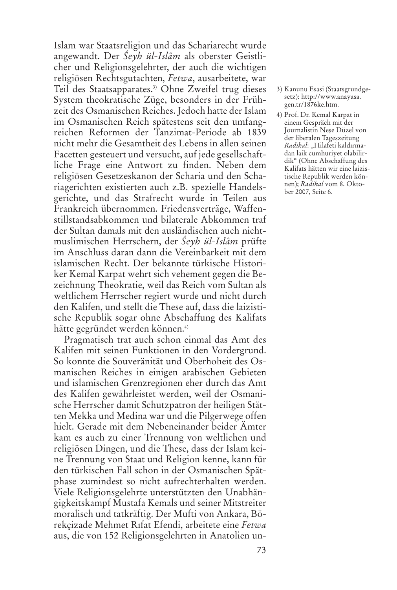Islam war Staatsreligion und das Schariarecht wurde angewandt. Der *Śeyh ül-Islâm* als oberster Geistlicher und Religionsgelehrter, der auch die wichtigen religiösen Rechtsgutachten, *Fetwa*, ausarbeitete, war Teil des Staatsapparates. 3) Ohne Zweifel trug dieses System theokratische Züge, besonders in der Frühzeit des Osmanischen Reiches. Jedoch hatte der Islam im Osmanischen Reich spätestens seit den umfangreichen Reformen der Tanzimat-Periode ab 1839 nicht mehr die Gesamtheit des Lebens in allen seinen Facetten gesteuert und versucht, auf jede gesellschaftliche Frage eine Antwort zu finden. Neben dem religiösen Gesetzeskanon der Scharia und den Schariagerichten existierten auch z.B. spezielle Handelsgerichte, und das Strafrecht wurde in Teilen aus Frankreich übernommen. Friedensverträge, Waffenstillstandsabkommen und bilaterale Abkommen traf der Sultan damals mit den ausländischen auch nichtmuslimischen Herrschern, der *Śeyh ül-Islâm* prüfte im Anschluss daran dann die Vereinbarkeit mit dem islamischen Recht. Der bekannte türkische Historiker Kemal Karpat wehrt sich vehement gegen die Bezeichnung Theokratie, weil das Reich vom Sultan als weltlichem Herrscher regiert wurde und nicht durch den Kalifen, und stellt die These auf, dass die laizistische Republik sogar ohne Abschaffung des Kalifats hätte gegründet werden können. 4)

Pragmatisch trat auch schon einmal das Amt des Kalifen mit seinen Funktionen in den Vordergrund. So konnte die Souveränität und Oberhoheit des Osmanischen Reiches in einigen arabischen Gebieten und islamischen Grenzregionen eher durch das Amt des Kalifen gewährleistet werden, weil der Osmanische Herrscher damit Schutzpatron der heiligen Stätten Mekka und Medina war und die Pilgerwege offen hielt. Gerade mit dem Nebeneinander beider Ämter kam es auch zu einer Trennung von weltlichen und religiösen Dingen, und die These, dass der Islam keine Trennung von Staat und Religion kenne, kann für den türkischen Fall schon in der Osmanischen Spätphase zumindest so nicht aufrechterhalten werden. Viele Religionsgelehrte unterstützten den Unabhängigkeitskampf Mustafa Kemals und seiner Mitstreiter moralisch und tatkräftig. Der Mufti von Ankara, Börekçizade Mehmet Rıfat Efendi, arbeitete eine *Fetwa* aus, die von 152 Religionsgelehrten in Anatolien un-

- 3) Kanunu Esasi (Staatsgrundgesetz): http://www.anayasa. gen.tr/1876ke.htm.
- 4) Prof. Dr. Kemal Karpat in einem Gespräch mit der Journalistin Neșe Düzel von der liberalen Tageszeitung *Radikal*: "Hilafeti kaldırmadan laik cumhuriyet olabilirdik" (Ohne Abschaffung des Kalifats hätten wir eine laizistische Republik werden können); *Radikal* vom 8. Oktober 2007, Seite 6.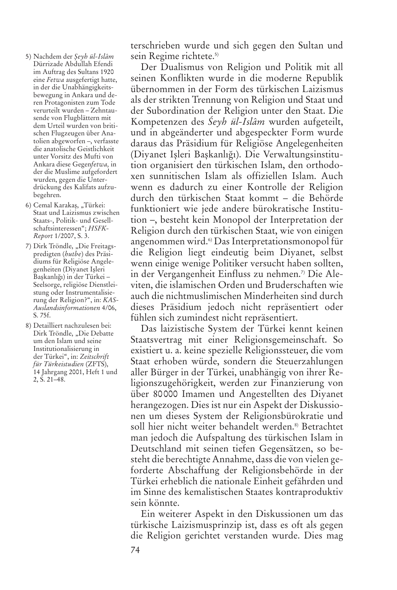- 5) Nachdem der *Șeyh ül-Islâm* Dürrizade Abdullah Efendi im Auftrag des Sultans 1920 eine *Fetwa* ausgefertigt hatte, in der die Unabhängigkeitsbewegung in Ankara und deren Protagonisten zum Tode verurteilt wurden – Zehntausende von Flugblättern mit dem Urteil wurden von britischen Flugzeugen über Anatolien abgeworfen –, verfasste die anatolische Geistlichkeit unter Vorsitz des Mufti von Ankara diese Gegen*fetwa,* in der die Muslime aufgefordert wurden, gegen die Unterdrückung des Kalifats aufzubegehren.
- 6) Cemal Karakaş, "Türkei: Staat und Laizismus zwischen Staats-, Politik- und Gesellschaftsinteressen"; *HSFK-Report* 1/2007, S. 3.
- 7) Dirk Tröndle, "Die Freitagspredigten (*hutbe*) des Präsidiums für Religiöse Angelegenheiten (Diyanet Ișleri Başkanlığı) in der Türkei -Seelsorge, religiöse Dienstleistung oder Instrumentalisierung der Religion?", in: *KAS-Auslandsinformationen* 4/06, S. 75f.
- 8) Detailliert nachzulesen bei: Dirk Tröndle, "Die Debatte um den Islam und seine Institutionalisierung in der Türkei", in: *Zeitschrift für Türkeistudien* (ZFTS), 14 Jahrgang 2001, Heft 1 und 2, S. 21–48.

terschrieben wurde und sich gegen den Sultan und sein Regime richtete. 5)

Der Dualismus von Religion und Politik mit all seinen Konflikten wurde in die moderne Republik übernommen in der Form des türkischen Laizismus als der strikten Trennung von Religion und Staat und der Subordination der Religion unter den Staat. Die Kompetenzen des *Śeyh ül-Islâm* wurden aufgeteilt, und in abgeänderter und abgespeckter Form wurde daraus das Präsidium für Religiöse Angelegenheiten (Diyanet Işleri Başkanlığı). Die Verwaltungsinstitution organisiert den türkischen Islam, den orthodoxen sunnitischen Islam als offiziellen Islam. Auch wenn es dadurch zu einer Kontrolle der Religion durch den türkischen Staat kommt – die Behörde funktioniert wie jede andere bürokratische Institution –, besteht kein Monopol der Interpretation der Religion durch den türkischen Staat, wie von einigen angenommen wird. 6) Das Interpretationsmonopol für die Religion liegt eindeutig beim Diyanet, selbst wenn einige wenige Politiker versucht haben sollten, in der Vergangenheit Einfluss zu nehmen. 7) Die Aleviten, die islamischen Orden und Bruderschaften wie auch die nichtmuslimischen Minderheiten sind durch dieses Präsidium jedoch nicht repräsentiert oder fühlen sich zumindest nicht repräsentiert.

Das laizistische System der Türkei kennt keinen Staatsvertrag mit einer Religionsgemeinschaft. So existiert u. a. keine spezielle Religionssteuer, die vom Staat erhoben würde, sondern die Steuerzahlungen aller Bürger in der Türkei, unabhängig von ihrer Religionszugehörigkeit, werden zur Finanzierung von über 80000 Imamen und Angestellten des Diyanet herangezogen. Dies ist nur ein Aspekt der Diskussionen um dieses System der Religionsbürokratie und soll hier nicht weiter behandelt werden. 8) Betrachtet man jedoch die Aufspaltung des türkischen Islam in Deutschland mit seinen tiefen Gegensätzen, so besteht die berechtigte Annahme, dass die von vielen geforderte Abschaffung der Religionsbehörde in der Türkei erheblich die nationale Einheit gefährden und im Sinne des kemalistischen Staates kontraproduktiv sein könnte.

Ein weiterer Aspekt in den Diskussionen um das türkische Laizismusprinzip ist, dass es oft als gegen die Religion gerichtet verstanden wurde. Dies mag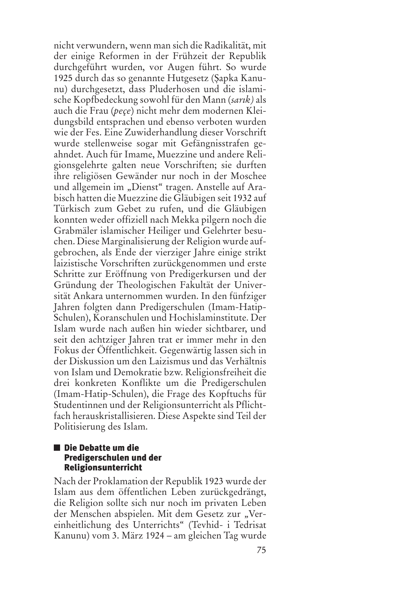nicht verwundern, wenn man sich die Radikalität, mit der einige Reformen in der Frühzeit der Republik durchgeführt wurden, vor Augen führt. So wurde 1925 durch das so genannte Hutgesetz (Șapka Kanunu) durchgesetzt, dass Pluderhosen und die islamische Kopfbedeckung sowohl für den Mann (*sarık)* als auch die Frau (*peçe*) nicht mehr dem modernen Kleidungsbild entsprachen und ebenso verboten wurden wie der Fes. Eine Zuwiderhandlung dieser Vorschrift wurde stellenweise sogar mit Gefängnisstrafen geahndet. Auch für Imame, Muezzine und andere Religionsgelehrte galten neue Vorschriften; sie durften ihre religiösen Gewänder nur noch in der Moschee und allgemein im "Dienst" tragen. Anstelle auf Arabisch hatten die Muezzine die Gläubigen seit 1932 auf Türkisch zum Gebet zu rufen, und die Gläubigen konnten weder offiziell nach Mekka pilgern noch die Grabmäler islamischer Heiliger und Gelehrter besuchen. Diese Marginalisierung der Religion wurde aufgebrochen, als Ende der vierziger Jahre einige strikt laizistische Vorschriften zurückgenommen und erste Schritte zur Eröffnung von Predigerkursen und der Gründung der Theologischen Fakultät der Universität Ankara unternommen wurden. In den fünfziger Jahren folgten dann Predigerschulen (Imam-Hatip-Schulen), Koranschulen und Hochislaminstitute. Der Islam wurde nach außen hin wieder sichtbarer, und seit den achtziger Jahren trat er immer mehr in den Fokus der Öffentlichkeit. Gegenwärtig lassen sich in der Diskussion um den Laizismus und das Verhältnis von Islam und Demokratie bzw. Religionsfreiheit die drei konkreten Konflikte um die Predigerschulen (Imam-Hatip-Schulen), die Frage des Kopftuchs für Studentinnen und der Religionsunterricht als Pflichtfach herauskristallisieren. Diese Aspekte sind Teil der Politisierung des Islam.

#### **Die Debatte um die Predigerschulen und der Religionsunterricht**

Nach der Proklamation der Republik 1923 wurde der Islam aus dem öffentlichen Leben zurückgedrängt, die Religion sollte sich nur noch im privaten Leben der Menschen abspielen. Mit dem Gesetz zur "Vereinheitlichung des Unterrichts" (Tevhid- i Tedrisat Kanunu) vom 3. März 1924 – am gleichen Tag wurde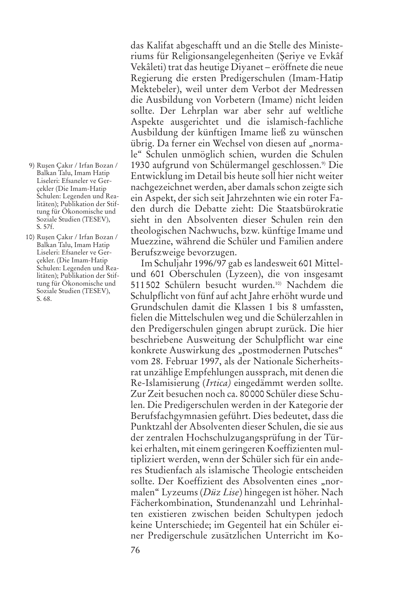- 9) Rușen Çakır / Irfan Bozan / Balkan Talu, Imam Hatip Liseleri: Efsaneler ve Gerçekler (Die Imam-Hatip Schulen: Legenden und Realitäten); Publikation der Stiftung für Ökonomische und Soziale Studien (TESEV), S. 57f.
- 10) Rușen Çakır / Irfan Bozan / Balkan Talu, Imam Hatip Liseleri: Efsaneler ve Gerçekler. (Die Imam-Hatip Schulen: Legenden und Realitäten); Publikation der Stiftung für Ökonomische und Soziale Studien (TESEV), S. 68.

das Kalifat abgeschafft und an die Stelle des Ministeriums für Religionsangelegenheiten (Șeriye ve Evkâf Vekâleti) trat das heutige Diyanet *–* eröffnete die neue Regierung die ersten Predigerschulen (Imam-Hatip Mektebeler), weil unter dem Verbot der Medressen die Ausbildung von Vorbetern (Imame) nicht leiden sollte. Der Lehrplan war aber sehr auf weltliche Aspekte ausgerichtet und die islamisch-fachliche Ausbildung der künftigen Imame ließ zu wünschen übrig. Da ferner ein Wechsel von diesen auf "normale" Schulen unmöglich schien, wurden die Schulen 1930 aufgrund von Schülermangel geschlossen. 9) Die Entwicklung im Detail bis heute soll hier nicht weiter nachgezeichnet werden, aber damals schon zeigte sich ein Aspekt, der sich seit Jahrzehnten wie ein roter Faden durch die Debatte zieht: Die Staatsbürokratie sieht in den Absolventen dieser Schulen rein den theologischen Nachwuchs, bzw. künftige Imame und Muezzine, während die Schüler und Familien andere Berufszweige bevorzugen.

Im Schuljahr 1996/97 gab es landesweit 601 Mittelund 601 Oberschulen (Lyzeen), die von insgesamt 511502 Schülern besucht wurden. 10) Nachdem die Schulpflicht von fünf auf acht Jahre erhöht wurde und Grundschulen damit die Klassen 1 bis 8 umfassten, fielen die Mittelschulen weg und die Schülerzahlen in den Predigerschulen gingen abrupt zurück. Die hier beschriebene Ausweitung der Schulpflicht war eine konkrete Auswirkung des "postmodernen Putsches" vom 28. Februar 1997, als der Nationale Sicherheitsrat unzählige Empfehlungen aussprach, mit denen die Re-Islamisierung (*Irtica)* eingedämmt werden sollte. Zur Zeit besuchen noch ca. 80000 Schüler diese Schulen. Die Predigerschulen werden in der Kategorie der Berufsfachgymnasien geführt. Dies bedeutet, dass die Punktzahl der Absolventen dieser Schulen, die sie aus der zentralen Hochschulzugangsprüfung in der Türkei erhalten, mit einem geringeren Koeffizienten multipliziert werden, wenn der Schüler sich für ein anderes Studienfach als islamische Theologie entscheiden sollte. Der Koeffizient des Absolventen eines "normalen" Lyzeums (*Düz Lise*) hingegen ist höher. Nach Fächerkombination, Stundenanzahl und Lehrinhalten existieren zwischen beiden Schultypen jedoch keine Unterschiede; im Gegenteil hat ein Schüler einer Predigerschule zusätzlichen Unterricht im Ko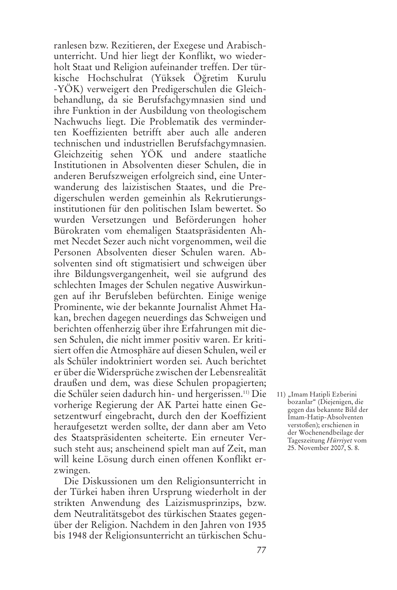ranlesen bzw. Rezitieren, der Exegese und Arabischunterricht. Und hier liegt der Konflikt, wo wiederholt Staat und Religion aufeinander treffen. Der türkische Hochschulrat (Yüksek Öğretim Kurulu -YÖK) verweigert den Predigerschulen die Gleichbehandlung, da sie Berufsfachgymnasien sind und ihre Funktion in der Ausbildung von theologischem Nachwuchs liegt. Die Problematik des verminderten Koeffizienten betrifft aber auch alle anderen technischen und industriellen Berufsfachgymnasien. Gleichzeitig sehen YÖK und andere staatliche Institutionen in Absolventen dieser Schulen, die in anderen Berufszweigen erfolgreich sind, eine Unterwanderung des laizistischen Staates, und die Predigerschulen werden gemeinhin als Rekrutierungsinstitutionen für den politischen Islam bewertet. So wurden Versetzungen und Beförderungen hoher Bürokraten vom ehemaligen Staatspräsidenten Ahmet Necdet Sezer auch nicht vorgenommen, weil die Personen Absolventen dieser Schulen waren. Absolventen sind oft stigmatisiert und schweigen über ihre Bildungsvergangenheit, weil sie aufgrund des schlechten Images der Schulen negative Auswirkungen auf ihr Berufsleben befürchten. Einige wenige Prominente, wie der bekannte Journalist Ahmet Hakan, brechen dagegen neuerdings das Schweigen und berichten offenherzig über ihre Erfahrungen mit diesen Schulen, die nicht immer positiv waren. Er kritisiert offen die Atmosphäre auf diesen Schulen, weil er als Schüler indoktriniert worden sei. Auch berichtet er über die Widersprüche zwischen der Lebensrealität draußen und dem, was diese Schulen propagierten; die Schüler seien dadurch hin- und hergerissen. 11) Die vorherige Regierung der AK Partei hatte einen Gesetzentwurf eingebracht, durch den der Koeffizient heraufgesetzt werden sollte, der dann aber am Veto des Staatspräsidenten scheiterte. Ein erneuter Versuch steht aus; anscheinend spielt man auf Zeit, man will keine Lösung durch einen offenen Konflikt erzwingen.

Die Diskussionen um den Religionsunterricht in der Türkei haben ihren Ursprung wiederholt in der strikten Anwendung des Laizismusprinzips, bzw. dem Neutralitätsgebot des türkischen Staates gegenüber der Religion. Nachdem in den Jahren von 1935 bis 1948 der Religionsunterricht an türkischen Schu11) "Imam Hatipli Ezberini bozanlar" (Diejenigen, die gegen das bekannte Bild der Imam-Hatip-Absolventen verstoßen); erschienen in der Wochenendbeilage der Tageszeitung *Hürriyet* vom 25. November 2007, S. 8.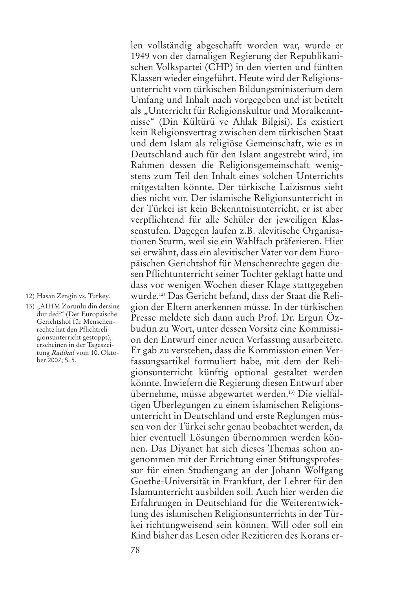12) Hasan Zengin vs. Turkey.

13) "AIHM Zorunlu din dersine dur dedi" (Der Europäische Gerichtshof für Menschenrechte hat den Pflichtreligionsunterricht gestoppt), erscheinen in der Tageszeitung *Radikal* vom 10. Oktober 2007; S. 5.

len vollständig abgeschafft worden war, wurde er 1949 von der damaligen Regierung der Republikanischen Volkspartei (CHP) in den vierten und fünften Klassen wieder eingeführt. Heute wird der Religionsunterricht vom türkischen Bildungsministerium dem Umfang und Inhalt nach vorgegeben und ist betitelt als "Unterricht für Religionskultur und Moralkenntnisse" (Din Kültürü ve Ahlak Bilgisi). Es existiert kein Religionsvertrag zwischen dem türkischen Staat und dem Islam als religiöse Gemeinschaft, wie es in Deutschland auch für den Islam angestrebt wird, im Rahmen dessen die Religionsgemeinschaft wenigstens zum Teil den Inhalt eines solchen Unterrichts mitgestalten könnte. Der türkische Laizismus sieht dies nicht vor. Der islamische Religionsunterricht in der Türkei ist kein Bekenntnisunterricht, er ist aber verpflichtend für alle Schüler der jeweiligen Klassenstufen. Dagegen laufen z.B. alevitische Organisationen Sturm, weil sie ein Wahlfach präferieren. Hier sei erwähnt, dass ein alevitischer Vater vor dem Europäischen Gerichtshof für Menschenrechte gegen diesen Pflichtunterricht seiner Tochter geklagt hatte und dass vor wenigen Wochen dieser Klage stattgegeben wurde. 12) Das Gericht befand, dass der Staat die Religion der Eltern anerkennen müsse. In der türkischen Presse meldete sich dann auch Prof. Dr. Ergun Özbudun zu Wort, unter dessen Vorsitz eine Kommission den Entwurf einer neuen Verfassung ausarbeitete. Er gab zu verstehen, dass die Kommission einen Verfassungsartikel formuliert habe, mit dem der Religionsunterricht künftig optional gestaltet werden könnte. Inwiefern die Regierung diesen Entwurf aber übernehme, müsse abgewartet werden. 13) Die vielfältigen Überlegungen zu einem islamischen Religionsunterricht in Deutschland und erste Reglungen müssen von der Türkei sehr genau beobachtet werden, da hier eventuell Lösungen übernommen werden können. Das Diyanet hat sich dieses Themas schon angenommen mit der Errichtung einer Stiftungsprofessur für einen Studiengang an der Johann Wolfgang Goethe-Universität in Frankfurt, der Lehrer für den Islamunterricht ausbilden soll. Auch hier werden die Erfahrungen in Deutschland für die Weiterentwicklung des islamischen Religionsunterrichts in der Türkei richtungweisend sein können. Will oder soll ein Kind bisher das Lesen oder Rezitieren des Korans er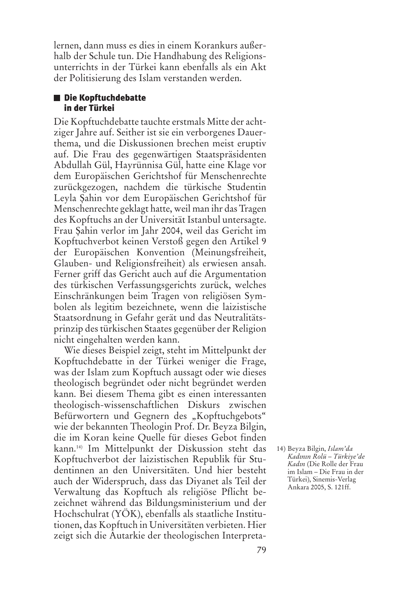lernen, dann muss es dies in einem Korankurs außerhalb der Schule tun. Die Handhabung des Religionsunterrichts in der Türkei kann ebenfalls als ein Akt der Politisierung des Islam verstanden werden.

#### **Die Kopftuchdebatte in der Türkei**

Die Kopftuchdebatte tauchte erstmals Mitte der achtziger Jahre auf. Seither ist sie ein verborgenes Dauerthema, und die Diskussionen brechen meist eruptiv auf. Die Frau des gegenwärtigen Staatspräsidenten Abdullah Gül, Hayrünnisa Gül, hatte eine Klage vor dem Europäischen Gerichtshof für Menschenrechte zurückgezogen, nachdem die türkische Studentin Leyla Șahin vor dem Europäischen Gerichtshof für Menschenrechte geklagt hatte, weil man ihr das Tragen des Kopftuchs an der Universität Istanbul untersagte. Frau Șahin verlor im Jahr 2004, weil das Gericht im Kopftuchverbot keinen Verstoß gegen den Artikel 9 der Europäischen Konvention (Meinungsfreiheit, Glauben- und Religionsfreiheit) als erwiesen ansah. Ferner griff das Gericht auch auf die Argumentation des türkischen Verfassungsgerichts zurück, welches Einschränkungen beim Tragen von religiösen Symbolen als legitim bezeichnete, wenn die laizistische Staatsordnung in Gefahr gerät und das Neutralitätsprinzip destürkischen Staates gegenüber der Religion nicht eingehalten werden kann.

Wie dieses Beispiel zeigt, steht im Mittelpunkt der Kopftuchdebatte in der Türkei weniger die Frage, was der Islam zum Kopftuch aussagt oder wie dieses theologisch begründet oder nicht begründet werden kann. Bei diesem Thema gibt es einen interessanten theologisch-wissenschaftlichen Diskurs zwischen Befürwortern und Gegnern des "Kopftuchgebots" wie der bekannten Theologin Prof. Dr. Beyza Bilgin, die im Koran keine Quelle für dieses Gebot finden kann. 14) Im Mittelpunkt der Diskussion steht das Kopftuchverbot der laizistischen Republik für Studentinnen an den Universitäten. Und hier besteht auch der Widerspruch, dass das Diyanet als Teil der Verwaltung das Kopftuch als religiöse Pflicht bezeichnet während das Bildungsministerium und der Hochschulrat (YÖK), ebenfalls als staatliche Institutionen, das Kopftuch in Universitäten verbieten. Hier zeigt sich die Autarkie der theologischen Interpreta-

<sup>14)</sup> Beyza Bilgin, *Islam'da Kadının Rolü – Türkiye'de Kadın* (Die Rolle der Frau im Islam – Die Frau in der Türkei), Sinemis-Verlag Ankara 2005, S. 121ff.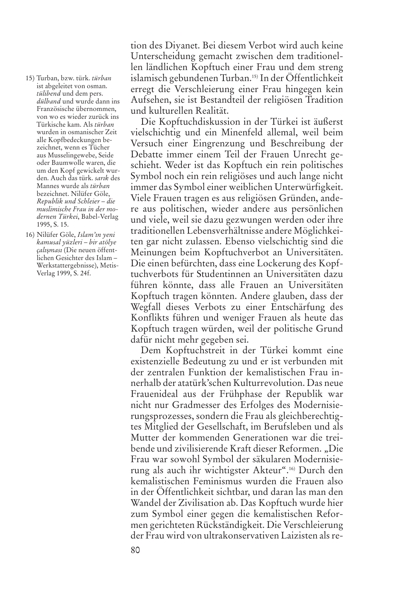- 15) Turban, bzw. türk. *türban* ist abgeleitet von osman. *tülibend* und dem pers. *dülband* und wurde dann ins Französische übernommen, von wo es wieder zurück ins Türkische kam. Als *türban* wurden in osmanischer Zeit alle Kopfbedeckungen bezeichnet, wenn es Tücher aus Musselingewebe, Seide oder Baumwolle waren, die um den Kopf gewickelt wurden. Auch das türk. *sarık* des Mannes wurde als *türban* bezeichnet. Nilüfer Göle, *Republik und Schleier – die muslimische Frau in der modernen Türkei*, Babel-Verlag 1995, S. 15.
- 16) Nilüfer Göle, *Islam'ın yeni kamusal yüzleri – bir atölye çalı*ș*ması* (Die neuen öffentlichen Gesichter des Islam – Werkstattergebnisse), Metis-Verlag 1999, S. 24f.

tion des Diyanet. Bei diesem Verbot wird auch keine Unterscheidung gemacht zwischen dem traditionellen ländlichen Kopftuch einer Frau und dem streng islamisch gebundenen Turban. 15) In der Öffentlichkeit erregt die Verschleierung einer Frau hingegen kein Aufsehen, sie ist Bestandteil der religiösen Tradition und kulturellen Realität.

Die Kopftuchdiskussion in der Türkei ist äußerst vielschichtig und ein Minenfeld allemal, weil beim Versuch einer Eingrenzung und Beschreibung der Debatte immer einem Teil der Frauen Unrecht geschieht. Weder ist das Kopftuch ein rein politisches Symbol noch ein rein religiöses und auch lange nicht immer das Symbol einer weiblichen Unterwürfigkeit. Viele Frauen tragen es aus religiösen Gründen, andere aus politischen, wieder andere aus persönlichen und viele, weil sie dazu gezwungen werden oder ihre traditionellen Lebensverhältnisse andere Möglichkeiten gar nicht zulassen. Ebenso vielschichtig sind die Meinungen beim Kopftuchverbot an Universitäten. Die einen befürchten, dass eine Lockerung des Kopftuchverbots für Studentinnen an Universitäten dazu führen könnte, dass alle Frauen an Universitäten Kopftuch tragen könnten. Andere glauben, dass der Wegfall dieses Verbots zu einer Entschärfung des Konflikts führen und weniger Frauen als heute das Kopftuch tragen würden, weil der politische Grund dafür nicht mehr gegeben sei.

Dem Kopftuchstreit in der Türkei kommt eine existenzielle Bedeutung zu und er ist verbunden mit der zentralen Funktion der kemalistischen Frau innerhalb der atatürk'schen Kulturrevolution. Das neue Frauenideal aus der Frühphase der Republik war nicht nur Gradmesser des Erfolges des Modernisierungsprozesses, sondern die Frau als gleichberechtigtes Mitglied der Gesellschaft, im Berufsleben und als Mutter der kommenden Generationen war die treibende und zivilisierende Kraft dieser Reformen. "Die Frau war sowohl Symbol der säkularen Modernisierung als auch ihr wichtigster Akteur". 16) Durch den kemalistischen Feminismus wurden die Frauen also in der Öffentlichkeit sichtbar, und daran las man den Wandel der Zivilisation ab. Das Kopftuch wurde hier zum Symbol einer gegen die kemalistischen Reformen gerichteten Rückständigkeit. Die Verschleierung der Frau wird von ultrakonservativen Laizisten alsre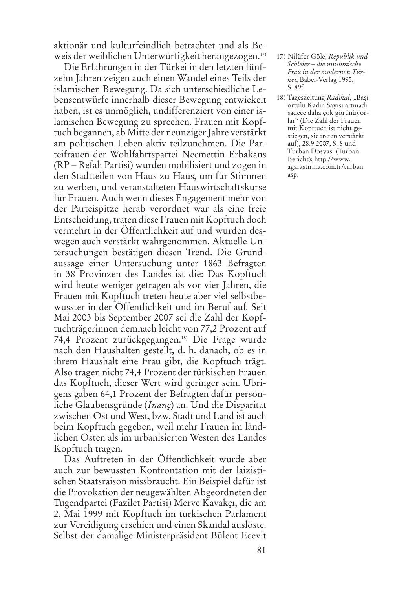aktionär und kulturfeindlich betrachtet und als Beweis der weiblichen Unterwürfigkeit herangezogen. 17)

Die Erfahrungen in der Türkei in den letzten fünfzehn Jahren zeigen auch einen Wandel eines Teils der islamischen Bewegung. Da sich unterschiedliche Lebensentwürfe innerhalb dieser Bewegung entwickelt haben, ist es unmöglich, undifferenziert von einer islamischen Bewegung zu sprechen. Frauen mit Kopftuch begannen, ab Mitte der neunziger Jahre verstärkt am politischen Leben aktiv teilzunehmen. Die Parteifrauen der Wohlfahrtspartei Necmettin Erbakans (RP – Refah Partisi) wurden mobilisiert und zogen in den Stadtteilen von Haus zu Haus, um für Stimmen zu werben, und veranstalteten Hauswirtschaftskurse für Frauen. Auch wenn dieses Engagement mehr von der Parteispitze herab verordnet war als eine freie Entscheidung, traten diese Frauen mit Kopftuch doch vermehrt in der Öffentlichkeit auf und wurden deswegen auch verstärkt wahrgenommen. Aktuelle Untersuchungen bestätigen diesen Trend. Die Grundaussage einer Untersuchung unter 1863 Befragten in 38 Provinzen des Landes ist die: Das Kopftuch wird heute weniger getragen als vor vier Jahren, die Frauen mit Kopftuch treten heute aber viel selbstbewusster in der Öffentlichkeit und im Beruf auf*.* Seit Mai 2003 bis September 2007 sei die Zahl der Kopftuchträgerinnen demnach leicht von 77,2 Prozent auf 74,4 Prozent zurückgegangen. 18) Die Frage wurde nach den Haushalten gestellt, d. h. danach, ob es in ihrem Haushalt eine Frau gibt, die Kopftuch trägt. Also tragen nicht 74,4 Prozent der türkischen Frauen das Kopftuch, dieser Wert wird geringer sein. Übrigens gaben 64,1 Prozent der Befragten dafür persönliche Glaubensgründe (*Inanç*) an. Und die Disparität zwischen Ost und West, bzw. Stadt und Land ist auch beim Kopftuch gegeben, weil mehr Frauen im ländlichen Osten als im urbanisierten Westen des Landes Kopftuch tragen.

Das Auftreten in der Öffentlichkeit wurde aber auch zur bewussten Konfrontation mit der laizistischen Staatsraison missbraucht. Ein Beispiel dafür ist die Provokation der neugewählten Abgeordneten der Tugendpartei (Fazilet Partisi) Merve Kavakçı, die am 2. Mai 1999 mit Kopftuch im türkischen Parlament zur Vereidigung erschien und einen Skandal auslöste. Selbst der damalige Ministerpräsident Bülent Ecevit

- 17) Nilüfer Göle, *Republik und Schleier – die muslimische Frau in der modernen Türkei*, Babel-Verlag 1995, S. 89f.
- 18) Tageszeitung *Radikal*, "Bașı örtülü Kadın Sayısı artmadı sadece daha çok görünüyorlar" (Die Zahl der Frauen mit Kopftuch ist nicht gestiegen, sie treten verstärkt auf), 28.9.2007, S. 8 und Türban Dosyası (Turban Bericht); http://www. agarastirma.com.tr/turban. asp.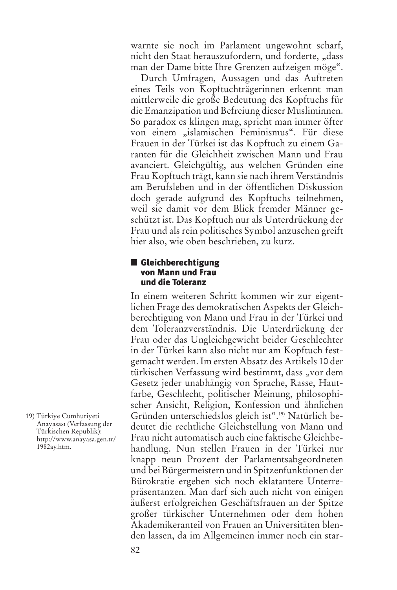warnte sie noch im Parlament ungewohnt scharf, nicht den Staat herauszufordern, und forderte, "dass man der Dame bitte Ihre Grenzen aufzeigen möge".

Durch Umfragen, Aussagen und das Auftreten eines Teils von Kopftuchträgerinnen erkennt man mittlerweile die große Bedeutung des Kopftuchs für die Emanzipation und Befreiung dieser Musliminnen. So paradox es klingen mag, spricht man immer öfter von einem "islamischen Feminismus". Für diese Frauen in der Türkei ist das Kopftuch zu einem Garanten für die Gleichheit zwischen Mann und Frau avanciert. Gleichgültig, aus welchen Gründen eine Frau Kopftuch trägt, kann sie nach ihrem Verständnis am Berufsleben und in der öffentlichen Diskussion doch gerade aufgrund des Kopftuchs teilnehmen, weil sie damit vor dem Blick fremder Männer geschützt ist. Das Kopftuch nur als Unterdrückung der Frau und als rein politisches Symbol anzusehen greift hier also, wie oben beschrieben, zu kurz.

### **Gleichberechtigung von Mann und Frau und die Toleranz**

In einem weiteren Schritt kommen wir zur eigentlichen Frage des demokratischen Aspekts der Gleichberechtigung von Mann und Frau in der Türkei und dem Toleranzverständnis. Die Unterdrückung der Frau oder das Ungleichgewicht beider Geschlechter in der Türkei kann also nicht nur am Kopftuch festgemacht werden.Im ersten Absatz des Artikels 10 der türkischen Verfassung wird bestimmt, dass "vor dem Gesetz jeder unabhängig von Sprache, Rasse, Hautfarbe, Geschlecht, politischer Meinung, philosophischer Ansicht, Religion, Konfession und ähnlichen Gründen unterschiedslos gleich ist". 19) Natürlich bedeutet die rechtliche Gleichstellung von Mann und Frau nicht automatisch auch eine faktische Gleichbehandlung. Nun stellen Frauen in der Türkei nur knapp neun Prozent der Parlamentsabgeordneten und bei Bürgermeistern und in Spitzenfunktionen der Bürokratie ergeben sich noch eklatantere Unterrepräsentanzen. Man darf sich auch nicht von einigen äußerst erfolgreichen Geschäftsfrauen an der Spitze großer türkischer Unternehmen oder dem hohen Akademikeranteil von Frauen an Universitäten blenden lassen, da im Allgemeinen immer noch ein star-

19) Türkiye Cumhuriyeti Anayasası (Verfassung der Türkischen Republik): http://www.anayasa.gen.tr/ 1982ay.htm.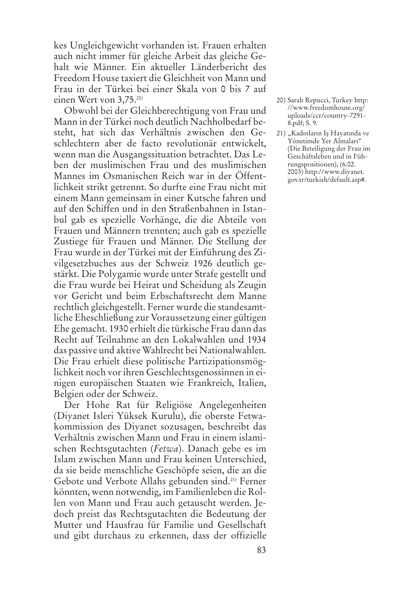kes Ungleichgewicht vorhanden ist. Frauen erhalten auch nicht immer für gleiche Arbeit das gleiche Gehalt wie Männer. Ein aktueller Länderbericht des Freedom House taxiert die Gleichheit von Mann und Frau in der Türkei bei einer Skala von 0 bis 7 auf einen Wert von 3,75. 20)

Obwohl bei der Gleichberechtigung von Frau und Mann in der Türkei noch deutlich Nachholbedarf besteht, hat sich das Verhältnis zwischen den Geschlechtern aber de facto revolutionär entwickelt, wenn man die Ausgangssituation betrachtet. Das Leben der muslimischen Frau und des muslimischen Mannes im Osmanischen Reich war in der Öffentlichkeit strikt getrennt. So durfte eine Frau nicht mit einem Mann gemeinsam in einer Kutsche fahren und auf den Schiffen und in den Straßenbahnen in Istanbul gab es spezielle Vorhänge, die die Abteile von Frauen und Männern trennten; auch gab es spezielle Zustiege für Frauen und Männer. Die Stellung der Frau wurde in der Türkei mit der Einführung des Zivilgesetzbuches aus der Schweiz 1926 deutlich gestärkt. Die Polygamie wurde unter Strafe gestellt und die Frau wurde bei Heirat und Scheidung als Zeugin vor Gericht und beim Erbschaftsrecht dem Manne rechtlich gleichgestellt. Ferner wurde die standesamtliche Eheschließung zur Voraussetzung einer gültigen Ehe gemacht. 1930 erhielt die türkische Frau dann das Recht auf Teilnahme an den Lokalwahlen und 1934 das passive und aktive Wahlrecht bei Nationalwahlen. Die Frau erhielt diese politische Partizipationsmöglichkeit noch vor ihren Geschlechtsgenossinnen in einigen europäischen Staaten wie Frankreich, Italien, Belgien oder der Schweiz.

Der Hohe Rat für Religiöse Angelegenheiten (Diyanet Isleri Yüksek Kurulu), die oberste Fetwakommission des Diyanet sozusagen, beschreibt das Verhältnis zwischen Mann und Frau in einem islamischen Rechtsgutachten (*Fetwa*). Danach gebe es im Islam zwischen Mann und Frau keinen Unterschied, da sie beide menschliche Geschöpfe seien, die an die Gebote und Verbote Allahs gebunden sind. 21) Ferner könnten, wenn notwendig, im Familienleben die Rollen von Mann und Frau auch getauscht werden. Jedoch preist das Rechtsgutachten die Bedeutung der Mutter und Hausfrau für Familie und Gesellschaft und gibt durchaus zu erkennen, dass der offizielle

- 20) Sarah Repucci, Turkey http: //www.freedomhouse.org/ uploads/ccr/country-7291- 8.pdf; S. 9.
- 21) "Kadınların Iş Hayatında ve Yönetimde Yer Almaları" (Die Beteiligung der Frau im Geschäftsleben und in Führungspositionen), (6.02. 2003) http://www.diyanet. gov.tr/turkish/default.asp#.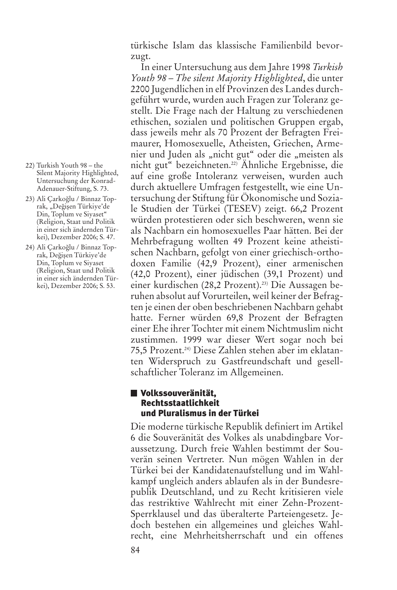türkische Islam das klassische Familienbild bevorzugt.

In einer Untersuchung aus dem Jahre 1998 *Turkish Youth 98 – The silent Majority Highlighted*, die unter 2200 Jugendlichen in elf Provinzen des Landes durchgeführt wurde, wurden auch Fragen zur Toleranz gestellt. Die Frage nach der Haltung zu verschiedenen ethischen, sozialen und politischen Gruppen ergab, dass jeweils mehr als 70 Prozent der Befragten Freimaurer, Homosexuelle, Atheisten, Griechen, Armenier und Juden als "nicht gut" oder die "meisten als nicht gut" bezeichneten. 22) Ähnliche Ergebnisse, die auf eine große Intoleranz verweisen, wurden auch durch aktuellere Umfragen festgestellt, wie eine Untersuchung der Stiftung für Ökonomische und Soziale Studien der Türkei (TESEV) zeigt. 66,2 Prozent würden protestieren oder sich beschweren, wenn sie als Nachbarn ein homosexuelles Paar hätten. Bei der Mehrbefragung wollten 49 Prozent keine atheistischen Nachbarn, gefolgt von einer griechisch-orthodoxen Familie (42,9 Prozent), einer armenischen (42,0 Prozent), einer jüdischen (39,1 Prozent) und einer kurdischen (28,2 Prozent). 23) Die Aussagen beruhen absolut auf Vorurteilen, weil keiner der Befragten je einen der oben beschriebenen Nachbarn gehabt hatte. Ferner würden 69,8 Prozent der Befragten einer Ehe ihrer Tochter mit einem Nichtmuslim nicht zustimmen. 1999 war dieser Wert sogar noch bei 75,5 Prozent. 24) Diese Zahlen stehen aber im eklatanten Widerspruch zu Gastfreundschaft und gesellschaftlicher Toleranz im Allgemeinen.

## **Volkssouveränität, Rechtsstaatlichkeit und Pluralismus in der Türkei**

Die moderne türkische Republik definiert im Artikel 6 die Souveränität des Volkes als unabdingbare Voraussetzung. Durch freie Wahlen bestimmt der Souverän seinen Vertreter. Nun mögen Wahlen in der Türkei bei der Kandidatenaufstellung und im Wahlkampf ungleich anders ablaufen als in der Bundesrepublik Deutschland, und zu Recht kritisieren viele das restriktive Wahlrecht mit einer Zehn-Prozent-Sperrklausel und das überalterte Parteiengesetz. Jedoch bestehen ein allgemeines und gleiches Wahlrecht, eine Mehrheitsherrschaft und ein offenes

- 22) Turkish Youth 98 the Silent Majority Highlighted, Untersuchung der Konrad-Adenauer-Stiftung, S. 73.
- 23) Ali Carkoğlu / Binnaz Toprak, "Değişen Türkiye'de Din, Toplum ve Siyaset" (Religion, Staat und Politik in einer sich ändernden Türkei), Dezember 2006; S. 47.
- 24) Ali Carkoğlu / Binnaz Toprak, Değişen Türkiye'de Din, Toplum ve Siyaset (Religion, Staat und Politik in einer sich ändernden Türkei), Dezember 2006; S. 53.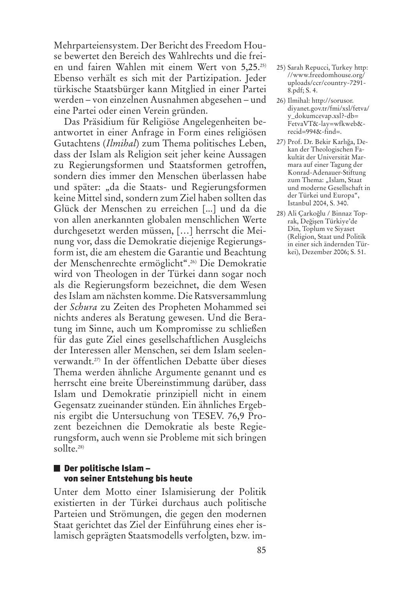Mehrparteiensystem. Der Bericht des Freedom House bewertet den Bereich des Wahlrechts und die freien und fairen Wahlen mit einem Wert von 5,25. 25) Ebenso verhält es sich mit der Partizipation. Jeder türkische Staatsbürger kann Mitglied in einer Partei werden – von einzelnen Ausnahmen abgesehen – und eine Partei oder einen Verein gründen.

Das Präsidium für Religiöse Angelegenheiten beantwortet in einer Anfrage in Form eines religiösen Gutachtens (*Ilmihal*) zum Thema politisches Leben, dass der Islam als Religion seit jeher keine Aussagen zu Regierungsformen und Staatsformen getroffen, sondern dies immer den Menschen überlassen habe und später: "da die Staats- und Regierungsformen keine Mittel sind, sondern zum Ziel haben sollten das Glück der Menschen zu erreichen [...] und da die von allen anerkannten globalen menschlichen Werte durchgesetzt werden müssen, […] herrscht die Meinung vor, dass die Demokratie diejenige Regierungsform ist, die am ehestem die Garantie und Beachtung der Menschenrechte ermöglicht". 26) Die Demokratie wird von Theologen in der Türkei dann sogar noch als die Regierungsform bezeichnet, die dem Wesen desIslam am nächsten komme. Die Ratsversammlung der *Schura* zu Zeiten des Propheten Mohammed sei nichts anderes als Beratung gewesen. Und die Beratung im Sinne, auch um Kompromisse zu schließen für das gute Ziel eines gesellschaftlichen Ausgleichs der Interessen aller Menschen, sei dem Islam seelenverwandt. 27) In der öffentlichen Debatte über dieses Thema werden ähnliche Argumente genannt und es herrscht eine breite Übereinstimmung darüber, dass Islam und Demokratie prinzipiell nicht in einem Gegensatz zueinander stünden. Ein ähnliches Ergebnis ergibt die Untersuchung von TESEV. 76,9 Prozent bezeichnen die Demokratie als beste Regierungsform, auch wenn sie Probleme mit sich bringen sollte. 28)

### **Der politische Islam – von seiner Entstehung bis heute**

Unter dem Motto einer Islamisierung der Politik existierten in der Türkei durchaus auch politische Parteien und Strömungen, die gegen den modernen Staat gerichtet das Ziel der Einführung eines eher islamisch geprägten Staatsmodells verfolgten, bzw. im-

- 25) Sarah Repucci, Turkey http: //www.freedomhouse.org/ uploads/ccr/country-7291- 8.pdf; S. 4.
- 26) Ilmihal: http://sorusor. diyanet.gov.tr/fmi/xsl/fetva/ y\_dokumcevap.xsl?-db= FetvaVT&-lay=wfkweb&  $recid = 9948z - find =$ .
- 27) Prof. Dr. Bekir Karlığa, Dekan der Theologischen Fakultät der Universität Marmara auf einer Tagung der Konrad-Adenauer-Stiftung zum Thema: "Islam, Staat und moderne Gesellschaft in der Türkei und Europa", Istanbul 2004, S. 340.
- 28) Ali Çarkoğlu / Binnaz Toprak, Değişen Türkiye'de Din, Toplum ve Siyaset (Religion, Staat und Politik in einer sich ändernden Türkei), Dezember 2006; S. 51.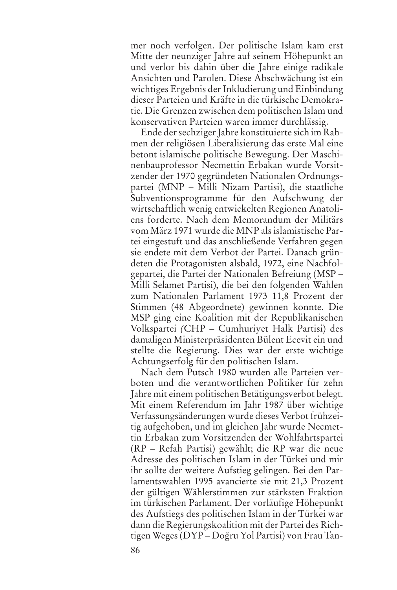mer noch verfolgen. Der politische Islam kam erst Mitte der neunziger Jahre auf seinem Höhepunkt an und verlor bis dahin über die Jahre einige radikale Ansichten und Parolen. Diese Abschwächung ist ein wichtiges Ergebnis der Inkludierung und Einbindung dieser Parteien und Kräfte in die türkische Demokratie. Die Grenzen zwischen dem politischen Islam und konservativen Parteien waren immer durchlässig.

Ende der sechziger Jahre konstituierte sich im Rahmen der religiösen Liberalisierung das erste Mal eine betont islamische politische Bewegung. Der Maschinenbauprofessor Necmettin Erbakan wurde Vorsitzender der 1970 gegründeten Nationalen Ordnungspartei (MNP – Milli Nizam Partisi), die staatliche Subventionsprogramme für den Aufschwung der wirtschaftlich wenig entwickelten Regionen Anatoliens forderte. Nach dem Memorandum der Militärs vom März 1971 wurde die MNP alsislamistische Partei eingestuft und das anschließende Verfahren gegen sie endete mit dem Verbot der Partei. Danach gründeten die Protagonisten alsbald, 1972, eine Nachfolgepartei, die Partei der Nationalen Befreiung (MSP – Milli Selamet Partisi), die bei den folgenden Wahlen zum Nationalen Parlament 1973 11,8 Prozent der Stimmen (48 Abgeordnete) gewinnen konnte. Die MSP ging eine Koalition mit der Republikanischen Volkspartei *(*CHP – Cumhuriyet Halk Partisi) des damaligen Ministerpräsidenten Bülent Ecevit ein und stellte die Regierung. Dies war der erste wichtige Achtungserfolg für den politischen Islam.

Nach dem Putsch 1980 wurden alle Parteien verboten und die verantwortlichen Politiker für zehn Jahre mit einem politischen Betätigungsverbot belegt. Mit einem Referendum im Jahr 1987 über wichtige Verfassungsänderungen wurde dieses Verbot frühzeitig aufgehoben, und im gleichen Jahr wurde Necmettin Erbakan zum Vorsitzenden der Wohlfahrtspartei (RP – Refah Partisi) gewählt; die RP war die neue Adresse des politischen Islam in der Türkei und mir ihr sollte der weitere Aufstieg gelingen. Bei den Parlamentswahlen 1995 avancierte sie mit 21,3 Prozent der gültigen Wählerstimmen zur stärksten Fraktion im türkischen Parlament. Der vorläufige Höhepunkt des Aufstiegs des politischen Islam in der Türkei war dann die Regierungskoalition mit der Partei des Richtigen Weges (DYP – Doğru Yol Partisi) von Frau Tan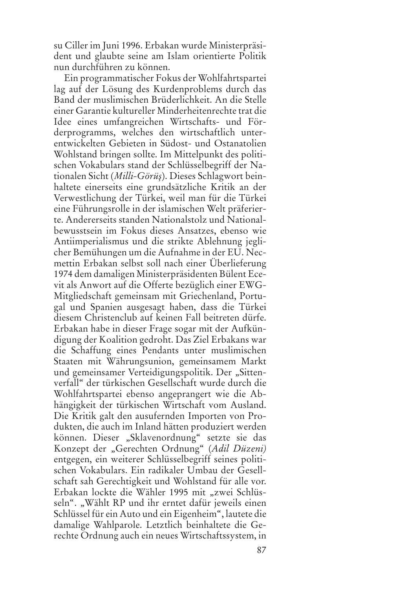su Ciller im Juni 1996. Erbakan wurde Ministerpräsident und glaubte seine am Islam orientierte Politik nun durchführen zu können.

Ein programmatischer Fokus der Wohlfahrtspartei lag auf der Lösung des Kurdenproblems durch das Band der muslimischen Brüderlichkeit. An die Stelle einer Garantie kultureller Minderheitenrechte trat die Idee eines umfangreichen Wirtschafts- und Förderprogramms, welches den wirtschaftlich unterentwickelten Gebieten in Südost- und Ostanatolien Wohlstand bringen sollte. Im Mittelpunkt des politischen Vokabulars stand der Schlüsselbegriff der Nationalen Sicht (*Milli-Görüș*). Dieses Schlagwort beinhaltete einerseits eine grundsätzliche Kritik an der Verwestlichung der Türkei, weil man für die Türkei eine Führungsrolle in der islamischen Welt präferierte. Andererseits standen Nationalstolz und Nationalbewusstsein im Fokus dieses Ansatzes, ebenso wie Antiimperialismus und die strikte Ablehnung jeglicher Bemühungen um die Aufnahme in der EU. Necmettin Erbakan selbst soll nach einer Überlieferung 1974 dem damaligen Ministerpräsidenten Bülent Ecevit als Anwort auf die Offerte bezüglich einer EWG-Mitgliedschaft gemeinsam mit Griechenland, Portugal und Spanien ausgesagt haben, dass die Türkei diesem Christenclub auf keinen Fall beitreten dürfe. Erbakan habe in dieser Frage sogar mit der Aufkündigung der Koalition gedroht. Das Ziel Erbakans war die Schaffung eines Pendants unter muslimischen Staaten mit Währungsunion, gemeinsamem Markt und gemeinsamer Verteidigungspolitik. Der "Sittenverfall" der türkischen Gesellschaft wurde durch die Wohlfahrtspartei ebenso angeprangert wie die Abhängigkeit der türkischen Wirtschaft vom Ausland. Die Kritik galt den ausufernden Importen von Produkten, die auch im Inland hätten produziert werden können. Dieser "Sklavenordnung" setzte sie das Konzept der "Gerechten Ordnung" (*Adil Düzeni)* entgegen, ein weiterer Schlüsselbegriff seines politischen Vokabulars. Ein radikaler Umbau der Gesellschaft sah Gerechtigkeit und Wohlstand für alle vor. Erbakan lockte die Wähler 1995 mit "zwei Schlüsseln". "Wählt RP und ihr erntet dafür jeweils einen Schlüssel für ein Auto und ein Eigenheim", lautete die damalige Wahlparole. Letztlich beinhaltete die Gerechte Ordnung auch ein neues Wirtschaftssystem, in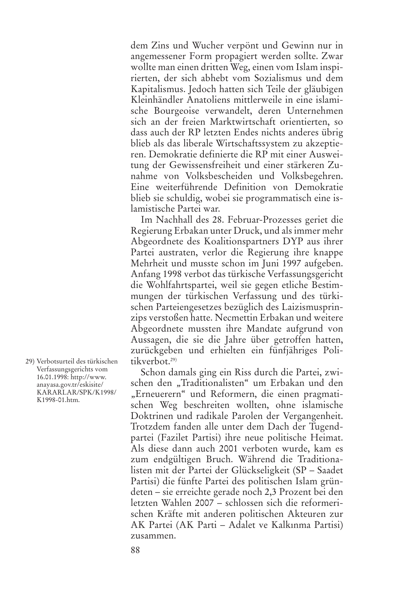dem Zins und Wucher verpönt und Gewinn nur in angemessener Form propagiert werden sollte. Zwar wollte man einen dritten Weg, einen vom Islam inspirierten, der sich abhebt vom Sozialismus und dem Kapitalismus. Jedoch hatten sich Teile der gläubigen Kleinhändler Anatoliens mittlerweile in eine islamische Bourgeoise verwandelt, deren Unternehmen sich an der freien Marktwirtschaft orientierten, so dass auch der RP letzten Endes nichts anderes übrig blieb als das liberale Wirtschaftssystem zu akzeptieren. Demokratie definierte die RP mit einer Ausweitung der Gewissensfreiheit und einer stärkeren Zunahme von Volksbescheiden und Volksbegehren. Eine weiterführende Definition von Demokratie blieb sie schuldig, wobei sie programmatisch eine islamistische Partei war.

Im Nachhall des 28. Februar-Prozesses geriet die Regierung Erbakan unter Druck, und alsimmer mehr Abgeordnete des Koalitionspartners DYP aus ihrer Partei austraten, verlor die Regierung ihre knappe Mehrheit und musste schon im Juni 1997 aufgeben. Anfang 1998 verbot das türkische Verfassungsgericht die Wohlfahrtspartei, weil sie gegen etliche Bestimmungen der türkischen Verfassung und des türkischen Parteiengesetzes bezüglich des Laizismusprinzips verstoßen hatte. Necmettin Erbakan und weitere Abgeordnete mussten ihre Mandate aufgrund von Aussagen, die sie die Jahre über getroffen hatten, zurückgeben und erhielten ein fünfjähriges Politikverbot. 29)

Schon damals ging ein Riss durch die Partei, zwischen den "Traditionalisten" um Erbakan und den "Erneuerern" und Reformern, die einen pragmatischen Weg beschreiten wollten, ohne islamische Doktrinen und radikale Parolen der Vergangenheit. Trotzdem fanden alle unter dem Dach der Tugendpartei (Fazilet Partisi) ihre neue politische Heimat. Als diese dann auch 2001 verboten wurde, kam es zum endgültigen Bruch. Während die Traditionalisten mit der Partei der Glückseligkeit (SP – Saadet Partisi) die fünfte Partei des politischen Islam gründeten – sie erreichte gerade noch 2,3 Prozent bei den letzten Wahlen 2007 – schlossen sich die reformerischen Kräfte mit anderen politischen Akteuren zur AK Partei (AK Parti – Adalet ve Kalkınma Partisi) zusammen.

29) Verbotsurteil des türkischen Verfassungsgerichts vom 16.01.1998: http://www. anayasa.gov.tr/eskisite/ KARARLAR/SPK/K1998/ K1998-01.htm.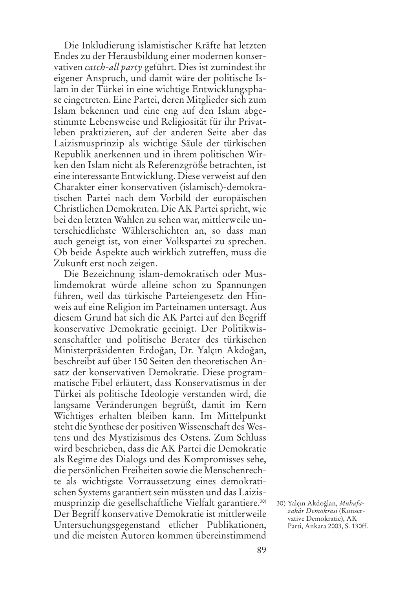Die Inkludierung islamistischer Kräfte hat letzten Endes zu der Herausbildung einer modernen konservativen *catch-all party* geführt. Dies ist zumindest ihr eigener Anspruch, und damit wäre der politische Islam in der Türkei in eine wichtige Entwicklungsphase eingetreten. Eine Partei, deren Mitglieder sich zum Islam bekennen und eine eng auf den Islam abgestimmte Lebensweise und Religiosität für ihr Privatleben praktizieren, auf der anderen Seite aber das Laizismusprinzip als wichtige Säule der türkischen Republik anerkennen und in ihrem politischen Wirken den Islam nicht als Referenzgröße betrachten, ist eine interessante Entwicklung. Diese verweist auf den Charakter einer konservativen (islamisch)-demokratischen Partei nach dem Vorbild der europäischen Christlichen Demokraten. Die AK Partei spricht, wie bei den letzten Wahlen zu sehen war, mittlerweile unterschiedlichste Wählerschichten an, so dass man auch geneigt ist, von einer Volkspartei zu sprechen. Ob beide Aspekte auch wirklich zutreffen, muss die Zukunft erst noch zeigen.

Die Bezeichnung islam-demokratisch oder Muslimdemokrat würde alleine schon zu Spannungen führen, weil das türkische Parteiengesetz den Hinweis auf eine Religion im Parteinamen untersagt. Aus diesem Grund hat sich die AK Partei auf den Begriff konservative Demokratie geeinigt. Der Politikwissenschaftler und politische Berater des türkischen Ministerpräsidenten Erdoğan, Dr. Yalçın Akdoğan, beschreibt auf über 150 Seiten den theoretischen Ansatz der konservativen Demokratie. Diese programmatische Fibel erläutert, dass Konservatismus in der Türkei als politische Ideologie verstanden wird, die langsame Veränderungen begrüßt, damit im Kern Wichtiges erhalten bleiben kann. Im Mittelpunkt steht die Synthese der positiven Wissenschaft des Westens und des Mystizismus des Ostens. Zum Schluss wird beschrieben, dass die AK Partei die Demokratie als Regime des Dialogs und des Kompromisses sehe, die persönlichen Freiheiten sowie die Menschenrechte als wichtigste Vorraussetzung eines demokratischen Systems garantiert sein müssten und das Laizismusprinzip die gesellschaftliche Vielfalt garantiere. 30) Der Begriff konservative Demokratie ist mittlerweile Untersuchungsgegenstand etlicher Publikationen, und die meisten Autoren kommen übereinstimmend

<sup>30)</sup> Yalçın Akdoğlan, Muhafa*zakâr Demokrasi* (Konservative Demokratie), AK Parti, Ankara 2003, S. 130ff.